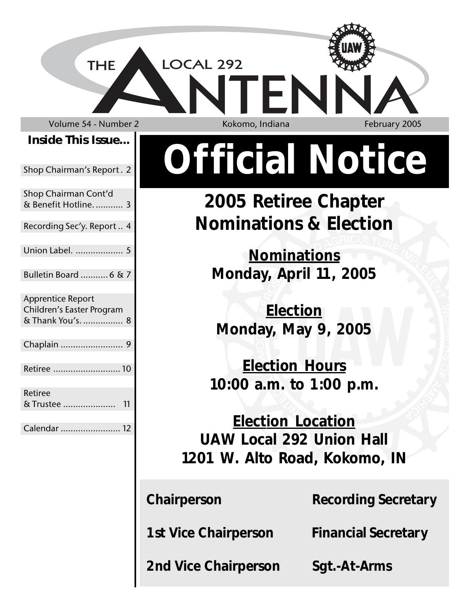Volume 54 - Number 2 Kokomo, Indiana February 2005

**THE** 

**Inside This Issue...**

Shop Chairman's Report . 2

Shop Chairman Cont'd & Benefit Hotline. ........... 3

Recording Sec'y. Report .. 4

Union Label. ................... 5

Bulletin Board ........... 6 & 7

Apprentice Report Children's Easter Program & Thank You's. ................ 8

Chaplain ......................... 9 Retiree ...........................10

Retiree & Trustee ..................... 11

Calendar ........................ 12

LOCAL 292

# **Official Notice**

**2005 Retiree Chapter Nominations & Election**

**Nominations Monday, April 11, 2005**

**Election Monday, May 9, 2005**

**Election Hours 10:00 a.m. to 1:00 p.m.**

**Election Location UAW Local 292 Union Hall 1201 W. Alto Road, Kokomo, IN**

**Chairperson Recording Secretary** 

**1st Vice Chairperson Financial Secretary**

**2nd Vice Chairperson Sgt.-At-Arms**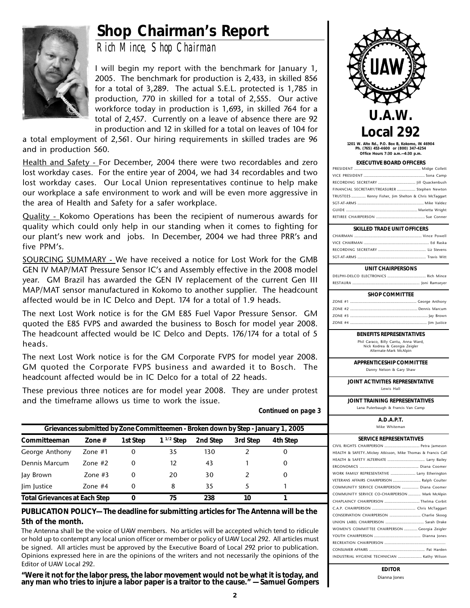### **Shop Chairman's Report**



*Rich Mince, Shop Chairman*

I will begin my report with the benchmark for January 1, 2005. The benchmark for production is 2,433, in skilled 856 for a total of 3,289. The actual S.E.L. protected is 1,785 in production, 770 in skilled for a total of 2,555. Our active workforce today in production is 1,693, in skilled 764 for a total of 2,457. Currently on a leave of absence there are 92 in production and 12 in skilled for a total on leaves of 104 for

a total employment of 2,561. Our hiring requirements in skilled trades are 96 and in production 560.

Health and Safety - For December, 2004 there were two recordables and zero lost workday cases. For the entire year of 2004, we had 34 recordables and two lost workday cases. Our Local Union representatives continue to help make our workplace a safe environment to work and will be even more aggressive in the area of Health and Safety for a safer workplace.

Quality - Kokomo Operations has been the recipient of numerous awards for quality which could only help in our standing when it comes to fighting for our plant's new work and jobs. In December, 2004 we had three PRR's and five PPM's.

SOURCING SUMMARY - We have received a notice for Lost Work for the GMB GEN IV MAP/MAT Pressure Sensor IC's and Assembly effective in the 2008 model year. GM Brazil has awarded the GEN IV replacement of the current Gen III MAP/MAT sensor manufactured in Kokomo to another supplier. The headcount affected would be in IC Delco and Dept. 174 for a total of 1.9 heads.

The next Lost Work notice is for the GM E85 Fuel Vapor Pressure Sensor. GM quoted the E85 FVPS and awarded the business to Bosch for model year 2008. The headcount affected would be IC Delco and Depts. 176/174 for a total of 5 heads.

The next Lost Work notice is for the GM Corporate FVPS for model year 2008. GM quoted the Corporate FVPS business and awarded it to Bosch. The headcount affected would be in IC Delco for a total of 22 heads.

These previous three notices are for model year 2008. They are under protest and the timeframe allows us time to work the issue.

| Grievances submitted by Zone Committeemen - Broken down by Step - January 1, 2005 |               |          |                |          |          |          |  |
|-----------------------------------------------------------------------------------|---------------|----------|----------------|----------|----------|----------|--|
| Committeeman                                                                      | Zone $#$      | 1st Step | $1^{1/2}$ Step | 2nd Step | 3rd Step | 4th Step |  |
| George Anthony                                                                    | Zone $#1$     | 0        | 35             | 130      |          | $\theta$ |  |
| Dennis Marcum                                                                     | $7$ one # $2$ | 0        | 12             | 43       |          |          |  |
| Jay Brown                                                                         | Zone $#3$     | 0        | 20             | 30       |          | O        |  |
| lim lustice                                                                       | Zone #4       | 0        | 8              | 35       |          |          |  |
| <b>Total Grievances at Each Step</b>                                              |               |          | 75             | 238      | 10       |          |  |

**PUBLICATION POLICY— The deadline for submitting articles for The Antenna will be the 5th of the month.**

The Antenna shall be the voice of UAW members. No articles will be accepted which tend to ridicule or hold up to contempt any local union officer or member or policy of UAW Local 292. All articles must be signed. All articles must be approved by the Executive Board of Local 292 prior to publication. Opinions expressed here in are the opinions of the writers and not necessarily the opinions of the Editor of UAW Local 292.

**"Were it not for the labor press, the labor movement would not be what it is today, and any man who tries to injure a labor paper is a traitor to the cause." — Samuel Gompers**



**1201 W. Alto Rd., P.O. Box B, Kokomo, IN 46904 Ph. (765) 453-4600 or (800) 347-4254 Office Hours 7:30 a.m.—4:30 p.m.**

| <b>EXECUTIVE BOARD OFFICERS</b>                       |  |  |  |  |
|-------------------------------------------------------|--|--|--|--|
|                                                       |  |  |  |  |
|                                                       |  |  |  |  |
|                                                       |  |  |  |  |
| FINANCIAL SECRETARY/TREASURER  Stephen Newton         |  |  |  |  |
| TRUSTEES  Kenny Fisher, Jim Shelton & Chris McTaggart |  |  |  |  |
|                                                       |  |  |  |  |
|                                                       |  |  |  |  |
|                                                       |  |  |  |  |

#### **SKILLED TRADE UNIT OFFICERS**

#### **UNIT CHAIRPERSONS**

**BENEFITS REPRESENTATIVES**

Phil Caraco, Billy Cantu, Anna Ward, Nick Kodrea & Georgia Zeigler Alternate-Mark McAlpin

#### **APPRENTICESHIP COMMITTEE**

Danny Nelson & Gary Shaw

**JOINT ACTIVITIES REPRESENTATIVE**

Lewis Hall

**JOINT TRAINING REPRESENTATIVES** Lana Puterbaugh & Francis Van Camp

**A.D.A.P.T.**

| .             |  |  |  |
|---------------|--|--|--|
| Mike Whiteman |  |  |  |

| <b>SERVICE REPRESENTATIVES</b>                             |  |  |  |  |
|------------------------------------------------------------|--|--|--|--|
| CIVIL RIGHTS CHAIRPERSON  Petra Jameson                    |  |  |  |  |
| HEALTH & SAFETYMickey Atkisson, Mike Thomas & Francis Call |  |  |  |  |
|                                                            |  |  |  |  |
|                                                            |  |  |  |  |
| WORK FAMILY REPRESENTATIVE  Larry Etherington              |  |  |  |  |
| VETERANS AFFAIRS CHAIRPERSON  Ralph Coulter                |  |  |  |  |
| COMMUNITY SERVICE CHAIRPERSON  Diana Coomer                |  |  |  |  |
| COMMUNITY SERVICE CO-CHAIRPERSON  Mark McAlpin             |  |  |  |  |
| CHAPLAINCY CHAIRPERSON  Thelma Corbit                      |  |  |  |  |
|                                                            |  |  |  |  |
| CONSERVATION CHAIRPERSON  Charlie Skoog                    |  |  |  |  |
|                                                            |  |  |  |  |
| WOMEN'S COMMITTEE CHAIRPERSON  Georgia Zeigler             |  |  |  |  |
|                                                            |  |  |  |  |
|                                                            |  |  |  |  |
|                                                            |  |  |  |  |
| INDUSTRIAL HYGIENE TECHNICIAN  Kathy Wilson                |  |  |  |  |
|                                                            |  |  |  |  |

**EDITOR** Dianna Jones

 *Continued on page 3*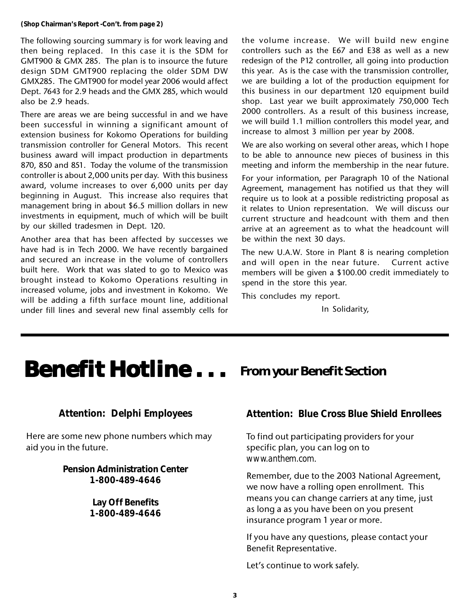The following sourcing summary is for work leaving and then being replaced. In this case it is the SDM for GMT900 & GMX 285. The plan is to insource the future design SDM GMT900 replacing the older SDM DW GMX285. The GMT900 for model year 2006 would affect Dept. 7643 for 2.9 heads and the GMX 285, which would also be 2.9 heads.

There are areas we are being successful in and we have been successful in winning a significant amount of extension business for Kokomo Operations for building transmission controller for General Motors. This recent business award will impact production in departments 870, 850 and 851. Today the volume of the transmission controller is about 2,000 units per day. With this business award, volume increases to over 6,000 units per day beginning in August. This increase also requires that management bring in about \$6.5 million dollars in new investments in equipment, much of which will be built by our skilled tradesmen in Dept. 120.

Another area that has been affected by successes we have had is in Tech 2000. We have recently bargained and secured an increase in the volume of controllers built here. Work that was slated to go to Mexico was brought instead to Kokomo Operations resulting in increased volume, jobs and investment in Kokomo. We will be adding a fifth surface mount line, additional under fill lines and several new final assembly cells for the volume increase. We will build new engine controllers such as the E67 and E38 as well as a new redesign of the P12 controller, all going into production this year. As is the case with the transmission controller, we are building a lot of the production equipment for this business in our department 120 equipment build shop. Last year we built approximately 750,000 Tech 2000 controllers. As a result of this business increase, we will build 1.1 million controllers this model year, and increase to almost 3 million per year by 2008.

We are also working on several other areas, which I hope to be able to announce new pieces of business in this meeting and inform the membership in the near future.

For your information, per Paragraph 10 of the National Agreement, management has notified us that they will require us to look at a possible redistricting proposal as it relates to Union representation. We will discuss our current structure and headcount with them and then arrive at an agreement as to what the headcount will be within the next 30 days.

The new U.A.W. Store in Plant 8 is nearing completion and will open in the near future. Current active members will be given a \$100.00 credit immediately to spend in the store this year.

This concludes my report.

In Solidarity,

# **Benefit Hotline ...** From your Benefit Section

#### **Attention: Delphi Employees**

Here are some new phone numbers which may aid you in the future.

> **Pension Administration Center 1-800-489-4646**

> > **Lay Off Benefits 1-800-489-4646**

#### **Attention: Blue Cross Blue Shield Enrollees**

To find out participating providers for your specific plan, you can log on to *www.anthem.com*.

Remember, due to the 2003 National Agreement, we now have a rolling open enrollment. This means you can change carriers at any time, just as long a as you have been on you present insurance program 1 year or more.

If you have any questions, please contact your Benefit Representative.

Let's continue to work safely.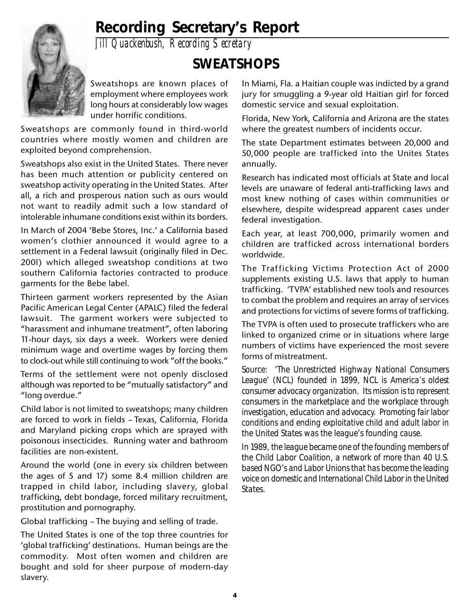

### **Recording Secretary's Report**

*Jill Quackenbush, Recording Secretary*

### **SWEATSHOPS**

Sweatshops are known places of employment where employees work long hours at considerably low wages under horrific conditions.

Sweatshops are commonly found in third-world countries where mostly women and children are exploited beyond comprehension.

Sweatshops also exist in the United States. There never has been much attention or publicity centered on sweatshop activity operating in the United States. After all, a rich and prosperous nation such as ours would not want to readily admit such a low standard of intolerable inhumane conditions exist within its borders.

In March of 2004 'Bebe Stores, Inc.' a California based women's clothier announced it would agree to a settlement in a Federal lawsuit (originally filed in Dec. 200l) which alleged sweatshop conditions at two southern California factories contracted to produce garments for the Bebe label.

Thirteen garment workers represented by the Asian Pacific American Legal Center (APALC) filed the federal lawsuit. The garment workers were subjected to "harassment and inhumane treatment", often laboring 11-hour days, six days a week. Workers were denied minimum wage and overtime wages by forcing them to clock-out while still continuing to work "off the books."

Terms of the settlement were not openly disclosed although was reported to be "mutually satisfactory" and "long overdue."

Child labor is not limited to sweatshops; many children are forced to work in fields – Texas, California, Florida and Maryland picking crops which are sprayed with poisonous insecticides. Running water and bathroom facilities are non-existent.

Around the world (one in every six children between the ages of 5 and 17) some 8.4 million children are trapped in child labor, including slavery, global trafficking, debt bondage, forced military recruitment, prostitution and pornography.

Global trafficking – The buying and selling of trade.

The United States is one of the top three countries for 'global trafficking' destinations. Human beings are the commodity. Most often women and children are bought and sold for sheer purpose of modern-day slavery.

In Miami, Fla. a Haitian couple was indicted by a grand jury for smuggling a 9-year old Haitian girl for forced domestic service and sexual exploitation.

Florida, New York, California and Arizona are the states where the greatest numbers of incidents occur.

The state Department estimates between 20,000 and 50,000 people are trafficked into the Unites States annually.

Research has indicated most officials at State and local levels are unaware of federal anti-trafficking laws and most knew nothing of cases within communities or elsewhere, despite widespread apparent cases under federal investigation.

Each year, at least 700,000, primarily women and children are trafficked across international borders worldwide.

The Trafficking Victims Protection Act of 2000 supplements existing U.S. laws that apply to human trafficking. 'TVPA' established new tools and resources to combat the problem and requires an array of services and protections for victims of severe forms of trafficking.

The TVPA is often used to prosecute traffickers who are linked to organized crime or in situations where large numbers of victims have experienced the most severe forms of mistreatment.

*Source: 'The Unrestricted Highway National Consumers League' (NCL) founded in 1899, NCL is America's oldest consumer advocacy organization. Its mission is to represent consumers in the marketplace and the workplace through investigation, education and advocacy. Promoting fair labor conditions and ending exploitative child and adult labor in the United States was the league's founding cause.*

*In 1989, the league became one of the founding members of the Child Labor Coalition, a network of more than 40 U.S. based NGO's and Labor Unions that has become the leading voice on domestic and International Child Labor in the United States.*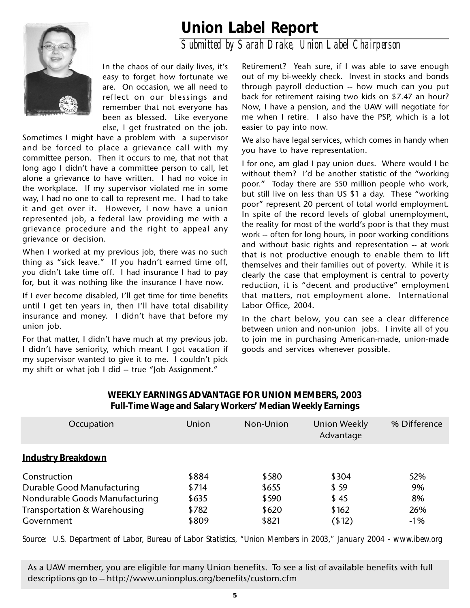### **Union Label Report**



*Submitted by Sarah Drake, Union Label Chairperson*

In the chaos of our daily lives, it's easy to forget how fortunate we are. On occasion, we all need to reflect on our blessings and remember that not everyone has been as blessed. Like everyone else, I get frustrated on the job.

Sometimes I might have a problem with a supervisor and be forced to place a grievance call with my committee person. Then it occurs to me, that not that long ago I didn't have a committee person to call, let alone a grievance to have written. I had no voice in the workplace. If my supervisor violated me in some way, I had no one to call to represent me. I had to take it and get over it. However, I now have a union represented job, a federal law providing me with a grievance procedure and the right to appeal any grievance or decision.

When I worked at my previous job, there was no such thing as "sick leave." If you hadn't earned time off, you didn't take time off. I had insurance I had to pay for, but it was nothing like the insurance I have now.

If I ever become disabled, I'll get time for time benefits until I get ten years in, then I'll have total disability insurance and money. I didn't have that before my union job.

For that matter, I didn't have much at my previous job. I didn't have seniority, which meant I got vacation if my supervisor wanted to give it to me. I couldn't pick my shift or what job I did -- true "Job Assignment."

Retirement? Yeah sure, if I was able to save enough out of my bi-weekly check. Invest in stocks and bonds through payroll deduction -- how much can you put back for retirement raising two kids on \$7.47 an hour? Now, I have a pension, and the UAW will negotiate for me when I retire. I also have the PSP, which is a lot easier to pay into now.

We also have legal services, which comes in handy when you have to have representation.

I for one, am glad I pay union dues. Where would I be without them? I'd be another statistic of the "working poor." Today there are 550 million people who work, but still live on less than US \$1 a day. These "working poor" represent 20 percent of total world employment. In spite of the record levels of global unemployment, the reality for most of the world's poor is that they must work -- often for long hours, in poor working conditions and without basic rights and representation -- at work that is not productive enough to enable them to lift themselves and their families out of poverty. While it is clearly the case that employment is central to poverty reduction, it is "decent and productive" employment that matters, not employment alone. International Labor Office, 2004.

In the chart below, you can see a clear difference between union and non-union jobs. I invite all of you to join me in purchasing American-made, union-made goods and services whenever possible.

| Occupation                     | Union | Non-Union | Union Weekly<br>Advantage | % Difference |
|--------------------------------|-------|-----------|---------------------------|--------------|
| <b>Industry Breakdown</b>      |       |           |                           |              |
| Construction                   | \$884 | \$580     | \$304                     | 52%          |
| Durable Good Manufacturing     | \$714 | \$655     | \$59                      | 9%           |
| Nondurable Goods Manufacturing | \$635 | \$590     | \$45                      | 8%           |
| Transportation & Warehousing   | \$782 | \$620     | \$162                     | 26%          |
| Government                     | \$809 | \$821     | (12)                      | $-1%$        |

#### **WEEKLY EARNINGS ADVANTAGE FOR UNION MEMBERS, 2003 Full-Time Wage and Salary Workers' Median Weekly Earnings**

*Source: U.S. Department of Labor, Bureau of Labor Statistics, "Union Members in 2003," January 2004 - www.ibew.org*

As a UAW member, you are eligible for many Union benefits. To see a list of available benefits with full descriptions go to -- http://www.unionplus.org/benefits/custom.cfm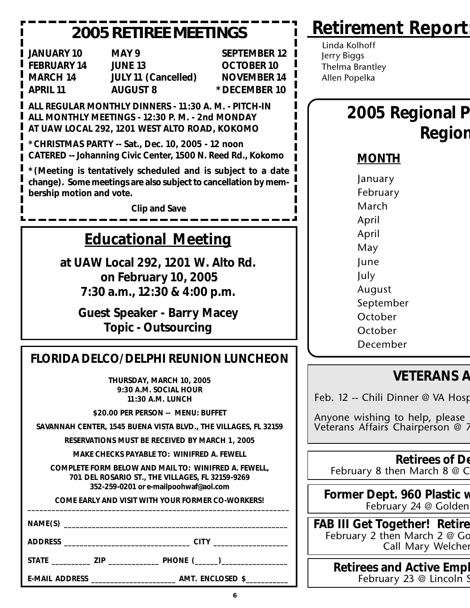### **2005 RETIREE MEETINGS**

**JANUARY 10 MAY 9 SEPTEMBER 12 FEBRUARY 14 JUNE 13 OCTOBER 10 MARCH 14 JULY 11 (Cancelled) NOVEMBER 14 APRIL 11 AUGUST 8 \*DECEMBER 10**

**ALL REGULAR MONTHLY DINNERS - 11:30 A. M. - PITCH-IN ALL MONTHLY MEETINGS - 12:30 P. M. - 2nd MONDAY AT UAW LOCAL 292, 1201 WEST ALTO ROAD, KOKOMO**

**\*CHRISTMAS PARTY -- Sat., Dec. 10, 2005 - 12 noon CATERED -- Johanning Civic Center, 1500 N. Reed Rd., Kokomo**

**\*(Meeting is tentatively scheduled and is subject to a date change). Some meetings are also subject to cancellation by membership motion and vote.**

**Clip and Save**

### **Educational Meeting**

**at UAW Local 292, 1201 W. Alto Rd. on February 10, 2005 7:30 a.m., 12:30 & 4:00 p.m.**

**Guest Speaker - Barry Macey Topic - Outsourcing**

### **FLORIDA DELCO/DELPHI REUNION LUNCHEON**

**THURSDAY, MARCH 10, 2005 9:30 A.M. SOCIAL HOUR 11:30 A.M. LUNCH**

**\$20.00 PER PERSON -- MENU: BUFFET**

**SAVANNAH CENTER, 1545 BUENA VISTA BLVD., THE VILLAGES, FL 32159**

**RESERVATIONS MUST BE RECEIVED BY MARCH 1, 2005**

**MAKE CHECKS PAYABLE TO: WINIFRED A. FEWELL**

**COMPLETE FORM BELOW AND MAIL TO: WINIFRED A. FEWELL, 701 DEL ROSARIO ST., THE VILLAGES, FL 32159-9269 352-259-0201 or e-mailpoohwaf@aol.com**

**COME EARLY AND VISIT WITH YOUR FORMER CO-WORKERS! \_\_\_\_\_\_\_\_\_\_\_\_\_\_\_\_\_\_\_\_\_\_\_\_\_\_\_\_\_\_\_\_\_\_\_\_\_\_\_\_\_\_\_\_\_\_\_\_\_\_\_\_\_\_\_\_\_\_\_\_\_\_\_\_\_**

**NAME(S) \_\_\_\_\_\_\_\_\_\_\_\_\_\_\_\_\_\_\_\_\_\_\_\_\_\_\_\_\_\_\_\_\_\_\_\_\_\_\_\_\_\_\_\_\_\_\_\_\_\_\_\_\_\_\_\_**

**ADDRESS \_\_\_\_\_\_\_\_\_\_\_\_\_\_\_\_\_\_\_\_\_\_\_\_\_\_\_\_\_\_\_\_ CITY \_\_\_\_\_\_\_\_\_\_\_\_\_\_\_\_\_\_\_**

**STATE \_\_\_\_\_\_\_\_\_\_ ZIP \_\_\_\_\_\_\_\_\_\_\_\_\_ PHONE (\_\_\_\_\_\_)\_\_\_\_\_\_\_\_\_\_\_\_\_\_\_\_\_**

**E-MAIL ADDRESS \_\_\_\_\_\_\_\_\_\_\_\_\_\_\_\_\_\_\_\_\_\_ AMT. ENCLOSED \$\_\_\_\_\_\_\_\_\_\_\_**

 Linda Kolhoff Jerry Biggs Thelma Brantley Allen Popelka

## **2005 Regional P Region**

#### **MONTH**

**Retirement Report:**

January February March April April May June July August September October **October** December

### **VETERANS A**

Feb. 12 -- Chili Dinner @ VA Hosp

Anyone wishing to help, please Veterans Affairs Chairperson @ 7

> **Retirees of De** February 8 then March 8 @ C

**Former Dept. 960 Plastic w** February 24 @ Golden

**FAB III Get Together! Retire** February 2 then March 2 @ Go Call Mary Welcher

> **Retirees and Active Empl** February 23 @ Lincoln S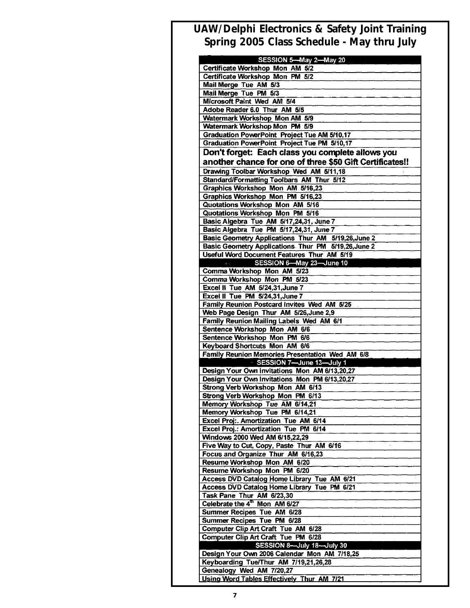#### **UAW/Delphi Electronics & Safety Joint Training Spring 2005 Class Schedule - May thru July**

| Certificate Workshop Mon PM 5/2<br>Mail Merge Tue AM 5/3<br>Mail Merge Tue PM 5/3<br>Microsoft Paint Wed AM 5/4<br>Adobe Reader 6.0 Thur AM 5/5<br>Watermark Workshop Mon AM 5/9<br>Watermark Workshop Mon PM 5/9<br><b>Graduation PowerPoint Project Tue AM 5/10,17</b><br><b>Graduation PowerPoint Project Tue PM 5/10,17</b><br>Don't forget: Each class you complete allows you<br>another chance for one of three \$50 Gift Certificates!!<br>Drawing Toolbar Workshop Wed AM 5/11,18<br>Standard/Formatting Toolbars AM Thur 5/12<br>Graphics Workshop Mon AM 5/16,23<br>Graphics Workshop Mon PM 5/16,23<br>Quotations Workshop Mon AM 5/16<br>Quotations Workshop Mon PM 5/16<br>Basic Algebra Tue AM 5/17,24,31, June 7<br>Basic Algebra Tue PM 5/17,24,31, June 7<br>Basic Geometry Applications Thur AM 5/19,26, June 2<br>Basic Geometry Applications Thur PM 5/19,26, June 2<br>Useful Word Document Features Thur AM 5/19<br>SESSION 6-May 23-June 10<br>Comma Workshop Mon AM 5/23<br>Comma Workshop Mon PM 5/23<br>Excel II Tue AM 5/24,31, June 7<br>Excel II Tue PM 5/24,31, June 7<br>Family Reunion Postcard Invites Wed AM 5/25<br>Web Page Design Thur AM 5/26, June 2,9<br>Family Reunion Mailing Labels Wed AM 6/1<br>Sentence Workshop Mon AM 6/6<br>Sentence Workshop Mon PM 6/6<br>Keyboard Shortcuts Mon AM 6/6<br>Family Reunion Memories Presentation Wed AM 6/8<br>SESSION 7-June 13-July 1<br>Design Your Own Invitations Mon AM 6/13,20,27<br>Design Your Own Invitations Mon PM 6/13,20,27<br>Strong Verb Workshop Mon AM 6/13<br>Strong Verb Workshop Mon PM 6/13<br>Memory Workshop Tue AM 6/14,21<br>Memory Workshop Tue PM 6/14,21<br>Excel Proj:. Amortization Tue AM 6/14<br>Excel Proj.: Amortization Tue PM 6/14<br>Windows 2000 Wed AM 6/15,22,29<br>Five Way to Cut, Copy, Paste Thur AM 6/16<br>Focus and Organize Thur AM 6/16,23<br>Resume Workshop Mon AM 6/20<br>Resume Workshop Mon PM 6/20<br>Access DVD Catalog Home Library Tue AM 6/21<br>Access DVD Catalog Home Library Tue PM 6/21<br>Task Pane Thur AM 6/23,30<br>Celebrate the 4 <sup>th</sup> Mon AM 6/27<br>Summer Recipes Tue AM 6/28<br>Summer Recipes Tue PM 6/28<br><b>Computer Clip Art Craft Tue AM 6/28</b><br>Computer Clip Art Craft Tue PM 6/28<br>SESSION 8-July 18-July 30<br>Design Your Own 2006 Calendar Mon AM 7/18,25<br>Keyboarding Tue/Thur AM 7/19,21,26,28<br>Genealogy Wed AM 7/20,27<br>Using Word Tables Effectively Thur AM 7/21 | SESSION 5-May 2-May 20<br>Certificate Workshop Mon AM 5/2 |
|------------------------------------------------------------------------------------------------------------------------------------------------------------------------------------------------------------------------------------------------------------------------------------------------------------------------------------------------------------------------------------------------------------------------------------------------------------------------------------------------------------------------------------------------------------------------------------------------------------------------------------------------------------------------------------------------------------------------------------------------------------------------------------------------------------------------------------------------------------------------------------------------------------------------------------------------------------------------------------------------------------------------------------------------------------------------------------------------------------------------------------------------------------------------------------------------------------------------------------------------------------------------------------------------------------------------------------------------------------------------------------------------------------------------------------------------------------------------------------------------------------------------------------------------------------------------------------------------------------------------------------------------------------------------------------------------------------------------------------------------------------------------------------------------------------------------------------------------------------------------------------------------------------------------------------------------------------------------------------------------------------------------------------------------------------------------------------------------------------------------------------------------------------------------------------------------------------------------------------------------------------------------------------------------------------------------------------------------------------------------------------------------------------------------------------------------------------------------|-----------------------------------------------------------|
|                                                                                                                                                                                                                                                                                                                                                                                                                                                                                                                                                                                                                                                                                                                                                                                                                                                                                                                                                                                                                                                                                                                                                                                                                                                                                                                                                                                                                                                                                                                                                                                                                                                                                                                                                                                                                                                                                                                                                                                                                                                                                                                                                                                                                                                                                                                                                                                                                                                                        |                                                           |
|                                                                                                                                                                                                                                                                                                                                                                                                                                                                                                                                                                                                                                                                                                                                                                                                                                                                                                                                                                                                                                                                                                                                                                                                                                                                                                                                                                                                                                                                                                                                                                                                                                                                                                                                                                                                                                                                                                                                                                                                                                                                                                                                                                                                                                                                                                                                                                                                                                                                        |                                                           |
|                                                                                                                                                                                                                                                                                                                                                                                                                                                                                                                                                                                                                                                                                                                                                                                                                                                                                                                                                                                                                                                                                                                                                                                                                                                                                                                                                                                                                                                                                                                                                                                                                                                                                                                                                                                                                                                                                                                                                                                                                                                                                                                                                                                                                                                                                                                                                                                                                                                                        |                                                           |
|                                                                                                                                                                                                                                                                                                                                                                                                                                                                                                                                                                                                                                                                                                                                                                                                                                                                                                                                                                                                                                                                                                                                                                                                                                                                                                                                                                                                                                                                                                                                                                                                                                                                                                                                                                                                                                                                                                                                                                                                                                                                                                                                                                                                                                                                                                                                                                                                                                                                        |                                                           |
|                                                                                                                                                                                                                                                                                                                                                                                                                                                                                                                                                                                                                                                                                                                                                                                                                                                                                                                                                                                                                                                                                                                                                                                                                                                                                                                                                                                                                                                                                                                                                                                                                                                                                                                                                                                                                                                                                                                                                                                                                                                                                                                                                                                                                                                                                                                                                                                                                                                                        |                                                           |
|                                                                                                                                                                                                                                                                                                                                                                                                                                                                                                                                                                                                                                                                                                                                                                                                                                                                                                                                                                                                                                                                                                                                                                                                                                                                                                                                                                                                                                                                                                                                                                                                                                                                                                                                                                                                                                                                                                                                                                                                                                                                                                                                                                                                                                                                                                                                                                                                                                                                        |                                                           |
|                                                                                                                                                                                                                                                                                                                                                                                                                                                                                                                                                                                                                                                                                                                                                                                                                                                                                                                                                                                                                                                                                                                                                                                                                                                                                                                                                                                                                                                                                                                                                                                                                                                                                                                                                                                                                                                                                                                                                                                                                                                                                                                                                                                                                                                                                                                                                                                                                                                                        |                                                           |
|                                                                                                                                                                                                                                                                                                                                                                                                                                                                                                                                                                                                                                                                                                                                                                                                                                                                                                                                                                                                                                                                                                                                                                                                                                                                                                                                                                                                                                                                                                                                                                                                                                                                                                                                                                                                                                                                                                                                                                                                                                                                                                                                                                                                                                                                                                                                                                                                                                                                        |                                                           |
|                                                                                                                                                                                                                                                                                                                                                                                                                                                                                                                                                                                                                                                                                                                                                                                                                                                                                                                                                                                                                                                                                                                                                                                                                                                                                                                                                                                                                                                                                                                                                                                                                                                                                                                                                                                                                                                                                                                                                                                                                                                                                                                                                                                                                                                                                                                                                                                                                                                                        |                                                           |
|                                                                                                                                                                                                                                                                                                                                                                                                                                                                                                                                                                                                                                                                                                                                                                                                                                                                                                                                                                                                                                                                                                                                                                                                                                                                                                                                                                                                                                                                                                                                                                                                                                                                                                                                                                                                                                                                                                                                                                                                                                                                                                                                                                                                                                                                                                                                                                                                                                                                        |                                                           |
|                                                                                                                                                                                                                                                                                                                                                                                                                                                                                                                                                                                                                                                                                                                                                                                                                                                                                                                                                                                                                                                                                                                                                                                                                                                                                                                                                                                                                                                                                                                                                                                                                                                                                                                                                                                                                                                                                                                                                                                                                                                                                                                                                                                                                                                                                                                                                                                                                                                                        |                                                           |
|                                                                                                                                                                                                                                                                                                                                                                                                                                                                                                                                                                                                                                                                                                                                                                                                                                                                                                                                                                                                                                                                                                                                                                                                                                                                                                                                                                                                                                                                                                                                                                                                                                                                                                                                                                                                                                                                                                                                                                                                                                                                                                                                                                                                                                                                                                                                                                                                                                                                        |                                                           |
|                                                                                                                                                                                                                                                                                                                                                                                                                                                                                                                                                                                                                                                                                                                                                                                                                                                                                                                                                                                                                                                                                                                                                                                                                                                                                                                                                                                                                                                                                                                                                                                                                                                                                                                                                                                                                                                                                                                                                                                                                                                                                                                                                                                                                                                                                                                                                                                                                                                                        |                                                           |
|                                                                                                                                                                                                                                                                                                                                                                                                                                                                                                                                                                                                                                                                                                                                                                                                                                                                                                                                                                                                                                                                                                                                                                                                                                                                                                                                                                                                                                                                                                                                                                                                                                                                                                                                                                                                                                                                                                                                                                                                                                                                                                                                                                                                                                                                                                                                                                                                                                                                        |                                                           |
|                                                                                                                                                                                                                                                                                                                                                                                                                                                                                                                                                                                                                                                                                                                                                                                                                                                                                                                                                                                                                                                                                                                                                                                                                                                                                                                                                                                                                                                                                                                                                                                                                                                                                                                                                                                                                                                                                                                                                                                                                                                                                                                                                                                                                                                                                                                                                                                                                                                                        |                                                           |
|                                                                                                                                                                                                                                                                                                                                                                                                                                                                                                                                                                                                                                                                                                                                                                                                                                                                                                                                                                                                                                                                                                                                                                                                                                                                                                                                                                                                                                                                                                                                                                                                                                                                                                                                                                                                                                                                                                                                                                                                                                                                                                                                                                                                                                                                                                                                                                                                                                                                        |                                                           |
|                                                                                                                                                                                                                                                                                                                                                                                                                                                                                                                                                                                                                                                                                                                                                                                                                                                                                                                                                                                                                                                                                                                                                                                                                                                                                                                                                                                                                                                                                                                                                                                                                                                                                                                                                                                                                                                                                                                                                                                                                                                                                                                                                                                                                                                                                                                                                                                                                                                                        |                                                           |
|                                                                                                                                                                                                                                                                                                                                                                                                                                                                                                                                                                                                                                                                                                                                                                                                                                                                                                                                                                                                                                                                                                                                                                                                                                                                                                                                                                                                                                                                                                                                                                                                                                                                                                                                                                                                                                                                                                                                                                                                                                                                                                                                                                                                                                                                                                                                                                                                                                                                        |                                                           |
|                                                                                                                                                                                                                                                                                                                                                                                                                                                                                                                                                                                                                                                                                                                                                                                                                                                                                                                                                                                                                                                                                                                                                                                                                                                                                                                                                                                                                                                                                                                                                                                                                                                                                                                                                                                                                                                                                                                                                                                                                                                                                                                                                                                                                                                                                                                                                                                                                                                                        |                                                           |
|                                                                                                                                                                                                                                                                                                                                                                                                                                                                                                                                                                                                                                                                                                                                                                                                                                                                                                                                                                                                                                                                                                                                                                                                                                                                                                                                                                                                                                                                                                                                                                                                                                                                                                                                                                                                                                                                                                                                                                                                                                                                                                                                                                                                                                                                                                                                                                                                                                                                        |                                                           |
|                                                                                                                                                                                                                                                                                                                                                                                                                                                                                                                                                                                                                                                                                                                                                                                                                                                                                                                                                                                                                                                                                                                                                                                                                                                                                                                                                                                                                                                                                                                                                                                                                                                                                                                                                                                                                                                                                                                                                                                                                                                                                                                                                                                                                                                                                                                                                                                                                                                                        |                                                           |
|                                                                                                                                                                                                                                                                                                                                                                                                                                                                                                                                                                                                                                                                                                                                                                                                                                                                                                                                                                                                                                                                                                                                                                                                                                                                                                                                                                                                                                                                                                                                                                                                                                                                                                                                                                                                                                                                                                                                                                                                                                                                                                                                                                                                                                                                                                                                                                                                                                                                        |                                                           |
|                                                                                                                                                                                                                                                                                                                                                                                                                                                                                                                                                                                                                                                                                                                                                                                                                                                                                                                                                                                                                                                                                                                                                                                                                                                                                                                                                                                                                                                                                                                                                                                                                                                                                                                                                                                                                                                                                                                                                                                                                                                                                                                                                                                                                                                                                                                                                                                                                                                                        |                                                           |
|                                                                                                                                                                                                                                                                                                                                                                                                                                                                                                                                                                                                                                                                                                                                                                                                                                                                                                                                                                                                                                                                                                                                                                                                                                                                                                                                                                                                                                                                                                                                                                                                                                                                                                                                                                                                                                                                                                                                                                                                                                                                                                                                                                                                                                                                                                                                                                                                                                                                        |                                                           |
|                                                                                                                                                                                                                                                                                                                                                                                                                                                                                                                                                                                                                                                                                                                                                                                                                                                                                                                                                                                                                                                                                                                                                                                                                                                                                                                                                                                                                                                                                                                                                                                                                                                                                                                                                                                                                                                                                                                                                                                                                                                                                                                                                                                                                                                                                                                                                                                                                                                                        |                                                           |
|                                                                                                                                                                                                                                                                                                                                                                                                                                                                                                                                                                                                                                                                                                                                                                                                                                                                                                                                                                                                                                                                                                                                                                                                                                                                                                                                                                                                                                                                                                                                                                                                                                                                                                                                                                                                                                                                                                                                                                                                                                                                                                                                                                                                                                                                                                                                                                                                                                                                        |                                                           |
|                                                                                                                                                                                                                                                                                                                                                                                                                                                                                                                                                                                                                                                                                                                                                                                                                                                                                                                                                                                                                                                                                                                                                                                                                                                                                                                                                                                                                                                                                                                                                                                                                                                                                                                                                                                                                                                                                                                                                                                                                                                                                                                                                                                                                                                                                                                                                                                                                                                                        |                                                           |
|                                                                                                                                                                                                                                                                                                                                                                                                                                                                                                                                                                                                                                                                                                                                                                                                                                                                                                                                                                                                                                                                                                                                                                                                                                                                                                                                                                                                                                                                                                                                                                                                                                                                                                                                                                                                                                                                                                                                                                                                                                                                                                                                                                                                                                                                                                                                                                                                                                                                        |                                                           |
|                                                                                                                                                                                                                                                                                                                                                                                                                                                                                                                                                                                                                                                                                                                                                                                                                                                                                                                                                                                                                                                                                                                                                                                                                                                                                                                                                                                                                                                                                                                                                                                                                                                                                                                                                                                                                                                                                                                                                                                                                                                                                                                                                                                                                                                                                                                                                                                                                                                                        |                                                           |
|                                                                                                                                                                                                                                                                                                                                                                                                                                                                                                                                                                                                                                                                                                                                                                                                                                                                                                                                                                                                                                                                                                                                                                                                                                                                                                                                                                                                                                                                                                                                                                                                                                                                                                                                                                                                                                                                                                                                                                                                                                                                                                                                                                                                                                                                                                                                                                                                                                                                        |                                                           |
|                                                                                                                                                                                                                                                                                                                                                                                                                                                                                                                                                                                                                                                                                                                                                                                                                                                                                                                                                                                                                                                                                                                                                                                                                                                                                                                                                                                                                                                                                                                                                                                                                                                                                                                                                                                                                                                                                                                                                                                                                                                                                                                                                                                                                                                                                                                                                                                                                                                                        |                                                           |
|                                                                                                                                                                                                                                                                                                                                                                                                                                                                                                                                                                                                                                                                                                                                                                                                                                                                                                                                                                                                                                                                                                                                                                                                                                                                                                                                                                                                                                                                                                                                                                                                                                                                                                                                                                                                                                                                                                                                                                                                                                                                                                                                                                                                                                                                                                                                                                                                                                                                        |                                                           |
|                                                                                                                                                                                                                                                                                                                                                                                                                                                                                                                                                                                                                                                                                                                                                                                                                                                                                                                                                                                                                                                                                                                                                                                                                                                                                                                                                                                                                                                                                                                                                                                                                                                                                                                                                                                                                                                                                                                                                                                                                                                                                                                                                                                                                                                                                                                                                                                                                                                                        |                                                           |
|                                                                                                                                                                                                                                                                                                                                                                                                                                                                                                                                                                                                                                                                                                                                                                                                                                                                                                                                                                                                                                                                                                                                                                                                                                                                                                                                                                                                                                                                                                                                                                                                                                                                                                                                                                                                                                                                                                                                                                                                                                                                                                                                                                                                                                                                                                                                                                                                                                                                        |                                                           |
|                                                                                                                                                                                                                                                                                                                                                                                                                                                                                                                                                                                                                                                                                                                                                                                                                                                                                                                                                                                                                                                                                                                                                                                                                                                                                                                                                                                                                                                                                                                                                                                                                                                                                                                                                                                                                                                                                                                                                                                                                                                                                                                                                                                                                                                                                                                                                                                                                                                                        |                                                           |
|                                                                                                                                                                                                                                                                                                                                                                                                                                                                                                                                                                                                                                                                                                                                                                                                                                                                                                                                                                                                                                                                                                                                                                                                                                                                                                                                                                                                                                                                                                                                                                                                                                                                                                                                                                                                                                                                                                                                                                                                                                                                                                                                                                                                                                                                                                                                                                                                                                                                        |                                                           |
|                                                                                                                                                                                                                                                                                                                                                                                                                                                                                                                                                                                                                                                                                                                                                                                                                                                                                                                                                                                                                                                                                                                                                                                                                                                                                                                                                                                                                                                                                                                                                                                                                                                                                                                                                                                                                                                                                                                                                                                                                                                                                                                                                                                                                                                                                                                                                                                                                                                                        |                                                           |
|                                                                                                                                                                                                                                                                                                                                                                                                                                                                                                                                                                                                                                                                                                                                                                                                                                                                                                                                                                                                                                                                                                                                                                                                                                                                                                                                                                                                                                                                                                                                                                                                                                                                                                                                                                                                                                                                                                                                                                                                                                                                                                                                                                                                                                                                                                                                                                                                                                                                        |                                                           |
|                                                                                                                                                                                                                                                                                                                                                                                                                                                                                                                                                                                                                                                                                                                                                                                                                                                                                                                                                                                                                                                                                                                                                                                                                                                                                                                                                                                                                                                                                                                                                                                                                                                                                                                                                                                                                                                                                                                                                                                                                                                                                                                                                                                                                                                                                                                                                                                                                                                                        |                                                           |
|                                                                                                                                                                                                                                                                                                                                                                                                                                                                                                                                                                                                                                                                                                                                                                                                                                                                                                                                                                                                                                                                                                                                                                                                                                                                                                                                                                                                                                                                                                                                                                                                                                                                                                                                                                                                                                                                                                                                                                                                                                                                                                                                                                                                                                                                                                                                                                                                                                                                        |                                                           |
|                                                                                                                                                                                                                                                                                                                                                                                                                                                                                                                                                                                                                                                                                                                                                                                                                                                                                                                                                                                                                                                                                                                                                                                                                                                                                                                                                                                                                                                                                                                                                                                                                                                                                                                                                                                                                                                                                                                                                                                                                                                                                                                                                                                                                                                                                                                                                                                                                                                                        |                                                           |
|                                                                                                                                                                                                                                                                                                                                                                                                                                                                                                                                                                                                                                                                                                                                                                                                                                                                                                                                                                                                                                                                                                                                                                                                                                                                                                                                                                                                                                                                                                                                                                                                                                                                                                                                                                                                                                                                                                                                                                                                                                                                                                                                                                                                                                                                                                                                                                                                                                                                        |                                                           |
|                                                                                                                                                                                                                                                                                                                                                                                                                                                                                                                                                                                                                                                                                                                                                                                                                                                                                                                                                                                                                                                                                                                                                                                                                                                                                                                                                                                                                                                                                                                                                                                                                                                                                                                                                                                                                                                                                                                                                                                                                                                                                                                                                                                                                                                                                                                                                                                                                                                                        |                                                           |
|                                                                                                                                                                                                                                                                                                                                                                                                                                                                                                                                                                                                                                                                                                                                                                                                                                                                                                                                                                                                                                                                                                                                                                                                                                                                                                                                                                                                                                                                                                                                                                                                                                                                                                                                                                                                                                                                                                                                                                                                                                                                                                                                                                                                                                                                                                                                                                                                                                                                        |                                                           |
|                                                                                                                                                                                                                                                                                                                                                                                                                                                                                                                                                                                                                                                                                                                                                                                                                                                                                                                                                                                                                                                                                                                                                                                                                                                                                                                                                                                                                                                                                                                                                                                                                                                                                                                                                                                                                                                                                                                                                                                                                                                                                                                                                                                                                                                                                                                                                                                                                                                                        |                                                           |
|                                                                                                                                                                                                                                                                                                                                                                                                                                                                                                                                                                                                                                                                                                                                                                                                                                                                                                                                                                                                                                                                                                                                                                                                                                                                                                                                                                                                                                                                                                                                                                                                                                                                                                                                                                                                                                                                                                                                                                                                                                                                                                                                                                                                                                                                                                                                                                                                                                                                        |                                                           |
|                                                                                                                                                                                                                                                                                                                                                                                                                                                                                                                                                                                                                                                                                                                                                                                                                                                                                                                                                                                                                                                                                                                                                                                                                                                                                                                                                                                                                                                                                                                                                                                                                                                                                                                                                                                                                                                                                                                                                                                                                                                                                                                                                                                                                                                                                                                                                                                                                                                                        |                                                           |
|                                                                                                                                                                                                                                                                                                                                                                                                                                                                                                                                                                                                                                                                                                                                                                                                                                                                                                                                                                                                                                                                                                                                                                                                                                                                                                                                                                                                                                                                                                                                                                                                                                                                                                                                                                                                                                                                                                                                                                                                                                                                                                                                                                                                                                                                                                                                                                                                                                                                        |                                                           |
|                                                                                                                                                                                                                                                                                                                                                                                                                                                                                                                                                                                                                                                                                                                                                                                                                                                                                                                                                                                                                                                                                                                                                                                                                                                                                                                                                                                                                                                                                                                                                                                                                                                                                                                                                                                                                                                                                                                                                                                                                                                                                                                                                                                                                                                                                                                                                                                                                                                                        |                                                           |
|                                                                                                                                                                                                                                                                                                                                                                                                                                                                                                                                                                                                                                                                                                                                                                                                                                                                                                                                                                                                                                                                                                                                                                                                                                                                                                                                                                                                                                                                                                                                                                                                                                                                                                                                                                                                                                                                                                                                                                                                                                                                                                                                                                                                                                                                                                                                                                                                                                                                        |                                                           |
|                                                                                                                                                                                                                                                                                                                                                                                                                                                                                                                                                                                                                                                                                                                                                                                                                                                                                                                                                                                                                                                                                                                                                                                                                                                                                                                                                                                                                                                                                                                                                                                                                                                                                                                                                                                                                                                                                                                                                                                                                                                                                                                                                                                                                                                                                                                                                                                                                                                                        |                                                           |
|                                                                                                                                                                                                                                                                                                                                                                                                                                                                                                                                                                                                                                                                                                                                                                                                                                                                                                                                                                                                                                                                                                                                                                                                                                                                                                                                                                                                                                                                                                                                                                                                                                                                                                                                                                                                                                                                                                                                                                                                                                                                                                                                                                                                                                                                                                                                                                                                                                                                        |                                                           |
|                                                                                                                                                                                                                                                                                                                                                                                                                                                                                                                                                                                                                                                                                                                                                                                                                                                                                                                                                                                                                                                                                                                                                                                                                                                                                                                                                                                                                                                                                                                                                                                                                                                                                                                                                                                                                                                                                                                                                                                                                                                                                                                                                                                                                                                                                                                                                                                                                                                                        |                                                           |
|                                                                                                                                                                                                                                                                                                                                                                                                                                                                                                                                                                                                                                                                                                                                                                                                                                                                                                                                                                                                                                                                                                                                                                                                                                                                                                                                                                                                                                                                                                                                                                                                                                                                                                                                                                                                                                                                                                                                                                                                                                                                                                                                                                                                                                                                                                                                                                                                                                                                        |                                                           |
|                                                                                                                                                                                                                                                                                                                                                                                                                                                                                                                                                                                                                                                                                                                                                                                                                                                                                                                                                                                                                                                                                                                                                                                                                                                                                                                                                                                                                                                                                                                                                                                                                                                                                                                                                                                                                                                                                                                                                                                                                                                                                                                                                                                                                                                                                                                                                                                                                                                                        |                                                           |
|                                                                                                                                                                                                                                                                                                                                                                                                                                                                                                                                                                                                                                                                                                                                                                                                                                                                                                                                                                                                                                                                                                                                                                                                                                                                                                                                                                                                                                                                                                                                                                                                                                                                                                                                                                                                                                                                                                                                                                                                                                                                                                                                                                                                                                                                                                                                                                                                                                                                        |                                                           |
|                                                                                                                                                                                                                                                                                                                                                                                                                                                                                                                                                                                                                                                                                                                                                                                                                                                                                                                                                                                                                                                                                                                                                                                                                                                                                                                                                                                                                                                                                                                                                                                                                                                                                                                                                                                                                                                                                                                                                                                                                                                                                                                                                                                                                                                                                                                                                                                                                                                                        |                                                           |
|                                                                                                                                                                                                                                                                                                                                                                                                                                                                                                                                                                                                                                                                                                                                                                                                                                                                                                                                                                                                                                                                                                                                                                                                                                                                                                                                                                                                                                                                                                                                                                                                                                                                                                                                                                                                                                                                                                                                                                                                                                                                                                                                                                                                                                                                                                                                                                                                                                                                        |                                                           |
|                                                                                                                                                                                                                                                                                                                                                                                                                                                                                                                                                                                                                                                                                                                                                                                                                                                                                                                                                                                                                                                                                                                                                                                                                                                                                                                                                                                                                                                                                                                                                                                                                                                                                                                                                                                                                                                                                                                                                                                                                                                                                                                                                                                                                                                                                                                                                                                                                                                                        |                                                           |
|                                                                                                                                                                                                                                                                                                                                                                                                                                                                                                                                                                                                                                                                                                                                                                                                                                                                                                                                                                                                                                                                                                                                                                                                                                                                                                                                                                                                                                                                                                                                                                                                                                                                                                                                                                                                                                                                                                                                                                                                                                                                                                                                                                                                                                                                                                                                                                                                                                                                        |                                                           |
|                                                                                                                                                                                                                                                                                                                                                                                                                                                                                                                                                                                                                                                                                                                                                                                                                                                                                                                                                                                                                                                                                                                                                                                                                                                                                                                                                                                                                                                                                                                                                                                                                                                                                                                                                                                                                                                                                                                                                                                                                                                                                                                                                                                                                                                                                                                                                                                                                                                                        |                                                           |
|                                                                                                                                                                                                                                                                                                                                                                                                                                                                                                                                                                                                                                                                                                                                                                                                                                                                                                                                                                                                                                                                                                                                                                                                                                                                                                                                                                                                                                                                                                                                                                                                                                                                                                                                                                                                                                                                                                                                                                                                                                                                                                                                                                                                                                                                                                                                                                                                                                                                        |                                                           |
|                                                                                                                                                                                                                                                                                                                                                                                                                                                                                                                                                                                                                                                                                                                                                                                                                                                                                                                                                                                                                                                                                                                                                                                                                                                                                                                                                                                                                                                                                                                                                                                                                                                                                                                                                                                                                                                                                                                                                                                                                                                                                                                                                                                                                                                                                                                                                                                                                                                                        |                                                           |
|                                                                                                                                                                                                                                                                                                                                                                                                                                                                                                                                                                                                                                                                                                                                                                                                                                                                                                                                                                                                                                                                                                                                                                                                                                                                                                                                                                                                                                                                                                                                                                                                                                                                                                                                                                                                                                                                                                                                                                                                                                                                                                                                                                                                                                                                                                                                                                                                                                                                        |                                                           |
|                                                                                                                                                                                                                                                                                                                                                                                                                                                                                                                                                                                                                                                                                                                                                                                                                                                                                                                                                                                                                                                                                                                                                                                                                                                                                                                                                                                                                                                                                                                                                                                                                                                                                                                                                                                                                                                                                                                                                                                                                                                                                                                                                                                                                                                                                                                                                                                                                                                                        |                                                           |
|                                                                                                                                                                                                                                                                                                                                                                                                                                                                                                                                                                                                                                                                                                                                                                                                                                                                                                                                                                                                                                                                                                                                                                                                                                                                                                                                                                                                                                                                                                                                                                                                                                                                                                                                                                                                                                                                                                                                                                                                                                                                                                                                                                                                                                                                                                                                                                                                                                                                        |                                                           |
|                                                                                                                                                                                                                                                                                                                                                                                                                                                                                                                                                                                                                                                                                                                                                                                                                                                                                                                                                                                                                                                                                                                                                                                                                                                                                                                                                                                                                                                                                                                                                                                                                                                                                                                                                                                                                                                                                                                                                                                                                                                                                                                                                                                                                                                                                                                                                                                                                                                                        |                                                           |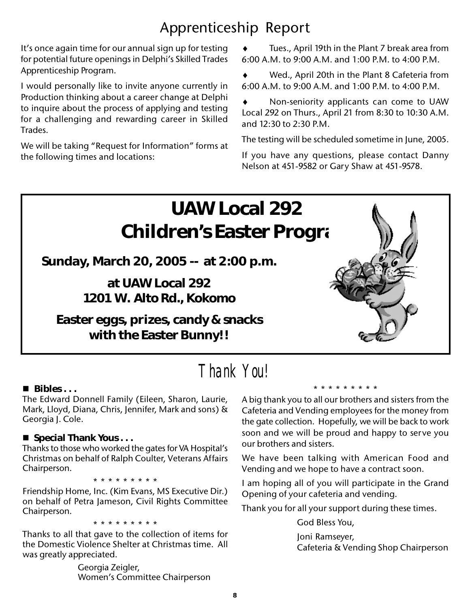### Apprenticeship Report

It's once again time for our annual sign up for testing for potential future openings in Delphi's Skilled Trades Apprenticeship Program.

I would personally like to invite anyone currently in Production thinking about a career change at Delphi to inquire about the process of applying and testing for a challenging and rewarding career in Skilled Trades.

We will be taking "Request for Information" forms at the following times and locations:

Tues., April 19th in the Plant 7 break area from 6:00 A.M. to 9:00 A.M. and 1:00 P.M. to 4:00 P.M.

Wed., April 20th in the Plant 8 Cafeteria from 6:00 A.M. to 9:00 A.M. and 1:00 P.M. to 4:00 P.M.

Non-seniority applicants can come to UAW Local 292 on Thurs., April 21 from 8:30 to 10:30 A.M. and 12:30 to 2:30 P.M.

The testing will be scheduled sometime in June, 2005.

If you have any questions, please contact Danny Nelson at 451-9582 or Gary Shaw at 451-9578.



### *Thank You!*

#### **Bibles . . .**

The Edward Donnell Family (Eileen, Sharon, Laurie, Mark, Lloyd, Diana, Chris, Jennifer, Mark and sons) & Georgia J. Cole.

#### ■ Special Thank Yous . . .

Thanks to those who worked the gates for VA Hospital's Christmas on behalf of Ralph Coulter, Veterans Affairs Chairperson.

\* \* \* \* \* \* \* \* \*

Friendship Home, Inc. (Kim Evans, MS Executive Dir.) on behalf of Petra Jameson, Civil Rights Committee Chairperson.

\* \* \* \* \* \* \* \* \*

Thanks to all that gave to the collection of items for the Domestic Violence Shelter at Christmas time. All was greatly appreciated.

> Georgia Zeigler, Women's Committee Chairperson

A big thank you to all our brothers and sisters from the Cafeteria and Vending employees for the money from the gate collection. Hopefully, we will be back to work soon and we will be proud and happy to serve you our brothers and sisters.

\* \* \* \* \* \* \* \* \*

We have been talking with American Food and Vending and we hope to have a contract soon.

I am hoping all of you will participate in the Grand Opening of your cafeteria and vending.

Thank you for all your support during these times.

God Bless You, Joni Ramseyer, Cafeteria & Vending Shop Chairperson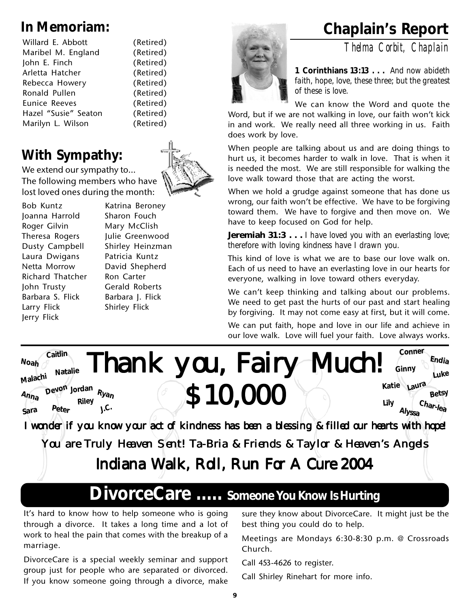| Willard E. Abbott    | (Retired) |
|----------------------|-----------|
| Maribel M. England   | (Retired) |
| John E. Finch        | (Retired) |
| Arletta Hatcher      | (Retired) |
| Rebecca Howery       | (Retired) |
| Ronald Pullen        | (Retired) |
| Eunice Reeves        | (Retired) |
| Hazel "Susie" Seaton | (Retired) |
| Marilyn L. Wilson    | (Retired) |
|                      |           |

### **With Sympathy:**

We extend our sympathy to... The following members who have lost loved ones during the month:

Bob Kuntz Katrina Beroney Joanna Harrold Sharon Fouch Roger Gilvin Mary McClish Laura Dwigans Patricia Kuntz Netta Morrow David Shepherd Richard Thatcher Ron Carter John Trusty Gerald Roberts Barbara S. Flick Barbara J. Flick Larry Flick Shirley Flick Jerry Flick

Theresa Rogers Julie Greenwood Dusty Campbell Shirley Heinzman



### **In Memoriam: Chaplain's Report**

*Thelma Corbit, Chaplain*



**1 Corinthians 13:13 . . .** *And now abideth faith, hope, love, these three; but the greatest of these is love.*

We can know the Word and quote the

Word, but if we are not walking in love, our faith won't kick in and work. We really need all three working in us. Faith does work by love.

When people are talking about us and are doing things to hurt us, it becomes harder to walk in love. That is when it is needed the most. We are still responsible for walking the love walk toward those that are acting the worst.

When we hold a grudge against someone that has done us wrong, our faith won't be effective. We have to be forgiving toward them. We have to forgive and then move on. We have to keep focused on God for help.

**Jeremiah 31:3 . . .** *I have loved you with an everlasting love; therefore with loving kindness have I drawn you.*

This kind of love is what we are to base our love walk on. Each of us need to have an everlasting love in our hearts for everyone, walking in love toward others everyday.

We can't keep thinking and talking about our problems. We need to get past the hurts of our past and start healing by forgiving. It may not come easy at first, but it will come.

We can put faith, hope and love in our life and achieve in our love walk. Love will fuel your faith. Love always works.



You are Truly Heaven Sent! Ta-Bria & Friends & Taylor & Heaven's Angels

Indiana Walk, Roll, Run For A Cure 2004

### **DivorceCare ..... Someone You Know Is Hurting**

It's hard to know how to help someone who is going through a divorce. It takes a long time and a lot of work to heal the pain that comes with the breakup of a marriage.

DivorceCare is a special weekly seminar and support group just for people who are separated or divorced. If you know someone going through a divorce, make

sure they know about DivorceCare. It might just be the best thing you could do to help.

Meetings are Mondays 6:30-8:30 p.m. @ Crossroads Church.

Call 453-4626 to register.

Call Shirley Rinehart for more info.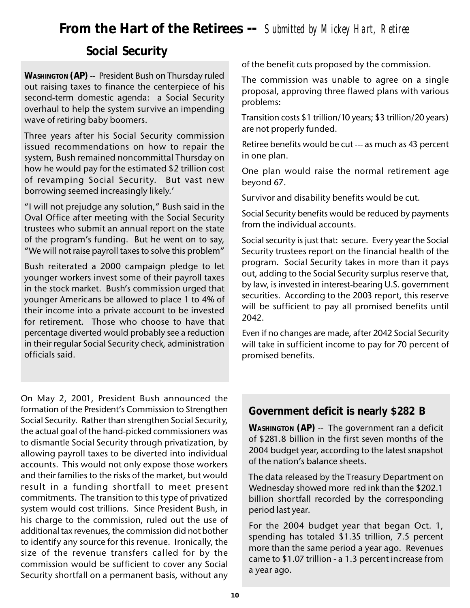### **From the Hart of the Retirees --** *Submitted by Mickey Hart, Retiree*

### **Social Security**

**WASHINGTON (AP)** -- President Bush on Thursday ruled out raising taxes to finance the centerpiece of his second-term domestic agenda: a Social Security overhaul to help the system survive an impending wave of retiring baby boomers.

Three years after his Social Security commission issued recommendations on how to repair the system, Bush remained noncommittal Thursday on how he would pay for the estimated \$2 trillion cost of revamping Social Security. But vast new borrowing seemed increasingly likely.'

"I will not prejudge any solution," Bush said in the Oval Office after meeting with the Social Security trustees who submit an annual report on the state of the program's funding. But he went on to say, "We will not raise payroll taxes to solve this problem"

Bush reiterated a 2000 campaign pledge to let younger workers invest some of their payroll taxes in the stock market. Bush's commission urged that younger Americans be allowed to place 1 to 4% of their income into a private account to be invested for retirement. Those who choose to have that percentage diverted would probably see a reduction in their regular Social Security check, administration officials said.

of the benefit cuts proposed by the commission.

The commission was unable to agree on a single proposal, approving three flawed plans with various problems:

Transition costs \$1 trillion/10 years; \$3 trillion/20 years) are not properly funded.

Retiree benefits would be cut --- as much as 43 percent in one plan.

One plan would raise the normal retirement age beyond 67.

Survivor and disability benefits would be cut.

Social Security benefits would be reduced by payments from the individual accounts.

Social security is just that: secure. Every year the Social Security trustees report on the financial health of the program. Social Security takes in more than it pays out, adding to the Social Security surplus reserve that, by law, is invested in interest-bearing U.S. government securities. According to the 2003 report, this reserve will be sufficient to pay all promised benefits until 2042.

Even if no changes are made, after 2042 Social Security will take in sufficient income to pay for 70 percent of promised benefits.

On May 2, 2001, President Bush announced the formation of the President's Commission to Strengthen Social Security. Rather than strengthen Social Security, the actual goal of the hand-picked commissioners was to dismantle Social Security through privatization, by allowing payroll taxes to be diverted into individual accounts. This would not only expose those workers and their families to the risks of the market, but would result in a funding shortfall to meet present commitments. The transition to this type of privatized system would cost trillions. Since President Bush, in his charge to the commission, ruled out the use of additional tax revenues, the commission did not bother to identify any source for this revenue. Ironically, the size of the revenue transfers called for by the commission would be sufficient to cover any Social Security shortfall on a permanent basis, without any

#### **Government deficit is nearly \$282 B**

**WASHINGTON (AP)** -- The government ran a deficit of \$281.8 billion in the first seven months of the 2004 budget year, according to the latest snapshot of the nation's balance sheets.

The data released by the Treasury Department on Wednesday showed more red ink than the \$202.1 billion shortfall recorded by the corresponding period last year.

For the 2004 budget year that began Oct. 1, spending has totaled \$1.35 trillion, 7.5 percent more than the same period a year ago. Revenues came to \$1.07 trillion - a 1.3 percent increase from a year ago.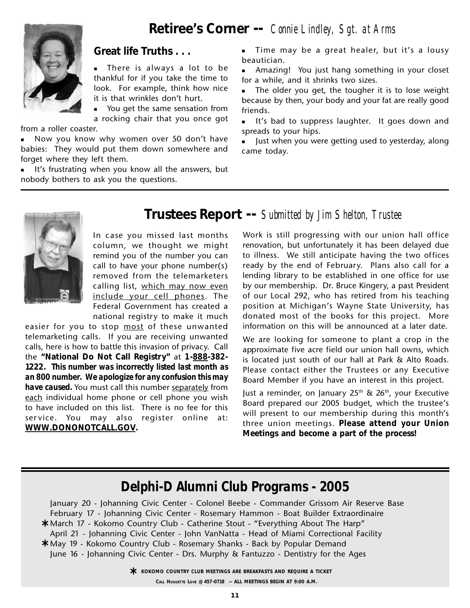**Retiree's Corner --** *Connie Lindley, Sgt. at Arms*



#### **Great life Truths . . .**

 There is always a lot to be thankful for if you take the time to look. For example, think how nice it is that wrinkles don't hurt.

 You get the same sensation from a rocking chair that you once got

from a roller coaster.

Now you know why women over 50 don't have babies: They would put them down somewhere and forget where they left them.

 It's frustrating when you know all the answers, but nobody bothers to ask you the questions.

 Time may be a great healer, but it's a lousy beautician.

 Amazing! You just hang something in your closet for a while, and it shrinks two sizes.

 The older you get, the tougher it is to lose weight because by then, your body and your fat are really good friends.

 It's bad to suppress laughter. It goes down and spreads to your hips.

 Just when you were getting used to yesterday, along came today.



**Trustees Report --** *Submitted by Jim Shelton, Trustee*

In case you missed last months column, we thought we might remind you of the number you can call to have your phone number(s) removed from the telemarketers calling list, which may now even include your cell phones. The Federal Government has created a national registry to make it much

easier for you to stop most of these unwanted telemarketing calls. If you are receiving unwanted calls, here is how to battle this invasion of privacy. Call the **"National Do Not Call Registry"** at **1-888-382- 1222.** *This number was incorrectly listed last month as an 800 number. We apologize for any confusion this may have caused.* You must call this number separately from each individual home phone or cell phone you wish to have included on this list. There is no fee for this service. You may also register online at: **WWW.DONONOTCALL.GOV.**

Work is still progressing with our union hall office renovation, but unfortunately it has been delayed due to illness. We still anticipate having the two offices ready by the end of February. Plans also call for a lending library to be established in one office for use by our membership. Dr. Bruce Kingery, a past President of our Local 292, who has retired from his teaching position at Michigan's Wayne State University, has donated most of the books for this project. More information on this will be announced at a later date.

We are looking for someone to plant a crop in the approximate five acre field our union hall owns, which is located just south of our hall at Park & Alto Roads. Please contact either the Trustees or any Executive Board Member if you have an interest in this project.

Just a reminder, on January  $25<sup>th</sup>$  &  $26<sup>th</sup>$ , your Executive Board prepared our 2005 budget, which the trustee's will present to our membership during this month's three union meetings. **Please attend your Union Meetings and become a part of the process!**

### *Delphi-D Alumni Club Programs - 2005*

January 20 - Johanning Civic Center - Colonel Beebe - Commander Grissom Air Reserve Base February 17 - Johanning Civic Center - Rosemary Hammon - Boat Builder Extraordinaire March 17 - Kokomo Country Club - Catherine Stout - "Everything About The Harp" **\*** April 21 - Johanning Civic Center - John VanNatta - Head of Miami Correctional Facility May 19 - Kokomo Country Club - Rosemary Shanks - Back by Popular Demand **\*** June 16 - Johanning Civic Center - Drs. Murphy & Fantuzzo - Dentistry for the Ages

> **KOKOMO COUNTRY CLUB MEETINGS ARE BREAKFASTS AND REQUIRE A TICKET<br>Call Hughette Love @ 457-0718 -- ALL MEETINGS BEGIN AT 9:00 A M CALL HUGUETTE LOVE @ 457-0718 -- ALL MEETINGS BEGIN AT 9:00 A.M.**